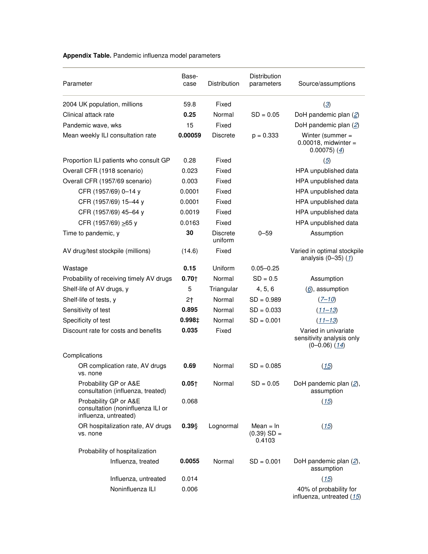## **Appendix Table.** Pandemic influenza model parameters

| Parameter                                                                           | Base-<br>case    | <b>Distribution</b>        | <b>Distribution</b><br>parameters      | Source/assumptions                                                     |
|-------------------------------------------------------------------------------------|------------------|----------------------------|----------------------------------------|------------------------------------------------------------------------|
| 2004 UK population, millions                                                        | 59.8             | Fixed                      |                                        | $\left( \underline{3} \right)$                                         |
| Clinical attack rate                                                                | 0.25             | Normal                     | $SD = 0.05$                            | DoH pandemic plan (2)                                                  |
| Pandemic wave, wks                                                                  | 15               | Fixed                      |                                        | DoH pandemic plan (2)                                                  |
| Mean weekly ILI consultation rate                                                   | 0.00059          | <b>Discrete</b>            | $p = 0.333$                            | Winter (summer =<br>$0.00018$ , midwinter =<br>$0.00075)$ (4)          |
| Proportion ILI patients who consult GP                                              | 0.28             | Fixed                      |                                        | $\overline{(5)}$                                                       |
| Overall CFR (1918 scenario)                                                         | 0.023            | Fixed                      |                                        | HPA unpublished data                                                   |
| Overall CFR (1957/69 scenario)                                                      | 0.003            | Fixed                      |                                        | HPA unpublished data                                                   |
| CFR (1957/69) 0-14 y                                                                | 0.0001           | Fixed                      |                                        | HPA unpublished data                                                   |
| CFR (1957/69) 15-44 y                                                               | 0.0001           | Fixed                      |                                        | HPA unpublished data                                                   |
| CFR (1957/69) 45-64 y                                                               | 0.0019           | Fixed                      |                                        | HPA unpublished data                                                   |
| CFR (1957/69) $\geq$ 65 y                                                           | 0.0163           | Fixed                      |                                        | HPA unpublished data                                                   |
| Time to pandemic, y                                                                 | 30               | <b>Discrete</b><br>uniform | $0 - 59$                               | Assumption                                                             |
| AV drug/test stockpile (millions)                                                   | (14.6)           | Fixed                      |                                        | Varied in optimal stockpile<br>analysis (0-35) (1)                     |
| Wastage                                                                             | 0.15             | Uniform                    | $0.05 - 0.25$                          |                                                                        |
| Probability of receiving timely AV drugs                                            | $0.70 +$         | Normal                     | $SD = 0.5$                             | Assumption                                                             |
| Shelf-life of AV drugs, y                                                           | 5                | Triangular                 | 4, 5, 6                                | $(6)$ , assumption                                                     |
| Shelf-life of tests, y                                                              | 2 <sub>1</sub>   | Normal                     | $SD = 0.989$                           | $(7 - 10)$                                                             |
| Sensitivity of test                                                                 | 0.895            | Normal                     | $SD = 0.033$                           | $(11 - 13)$                                                            |
| Specificity of test                                                                 | $0.998 \ddagger$ | Normal                     | $SD = 0.001$                           | $(11 - 13)$                                                            |
| Discount rate for costs and benefits                                                | 0.035            | Fixed                      |                                        | Varied in univariate<br>sensitivity analysis only<br>$(0-0.06)$ $(14)$ |
| Complications                                                                       |                  |                            |                                        |                                                                        |
| OR complication rate, AV drugs<br>vs. none                                          | 0.69             | Normal                     | $SD = 0.085$                           | (15)                                                                   |
| Probability GP or A&E<br>consultation (influenza, treated)                          | $0.05+$          | Normal                     | $SD = 0.05$                            | DoH pandemic plan (2),<br>assumption                                   |
| Probability GP or A&E<br>consultation (noninfluenza ILI or<br>influenza, untreated) | 0.068            |                            |                                        | (15)                                                                   |
| OR hospitalization rate, AV drugs<br>vs. none                                       | 0.39             | Lognormal                  | $Mean = In$<br>$(0.39)$ SD =<br>0.4103 | (15)                                                                   |
| Probability of hospitalization                                                      |                  |                            |                                        |                                                                        |
| Influenza, treated                                                                  | 0.0055           | Normal                     | $SD = 0.001$                           | DoH pandemic plan $(2)$ ,<br>assumption                                |
| Influenza, untreated                                                                | 0.014            |                            |                                        | (15)                                                                   |
| Noninfluenza ILI                                                                    | 0.006            |                            |                                        | 40% of probability for<br>influenza, untreated (15)                    |